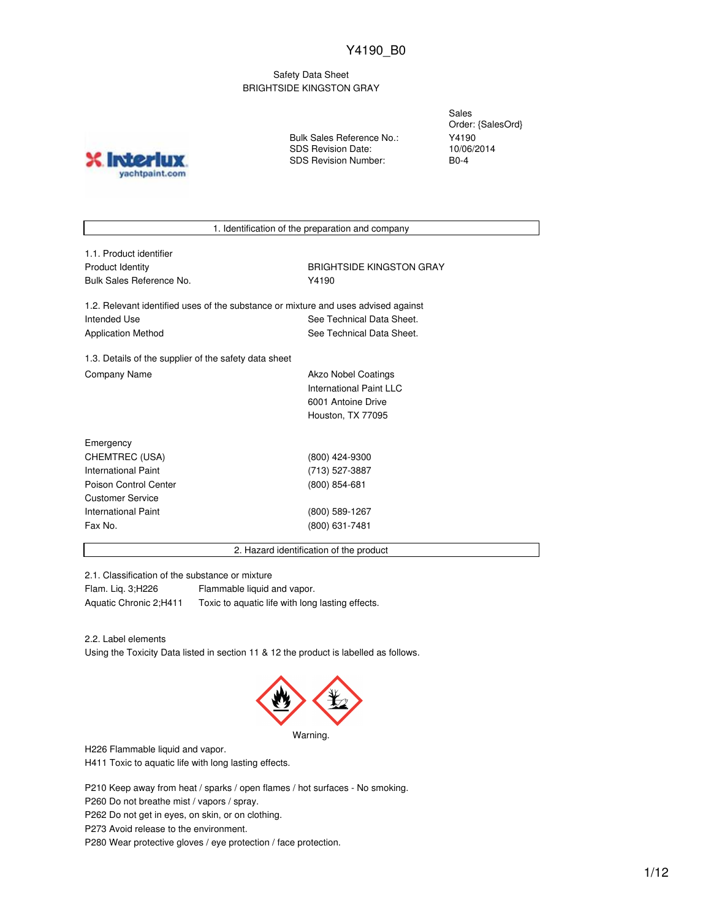### Safety Data Sheet BRIGHTSIDE KINGSTON GRAY

**IND** yachtpaint.com Bulk Sales Reference No.: SDS Revision Date: SDS Revision Number:

Sales Order: {SalesOrd} Y4190 10/06/2014 B0-4

1. Identification of the preparation and company

| 1.1. Product identifier  |
|--------------------------|
| Product Identity         |
| Bulk Sales Reference No. |

**BRIGHTSIDE KINGSTON GRAY** Y4190

1.2. Relevant identified uses of the substance or mixture and uses advised against Intended Use **See Technical Data Sheet.** See Technical Data Sheet. Application Method See Technical Data Sheet.

1.3. Details of the supplier of the safety data sheet Company Name **Akzo Nobel Coatings** Company Name

International Paint LLC 6001 Antoine Drive Houston, TX 77095

| Emergency             |                 |  |
|-----------------------|-----------------|--|
| CHEMTREC (USA)        | (800) 424-9300  |  |
| International Paint   | (713) 527-3887  |  |
| Poison Control Center | $(800)$ 854-681 |  |
| Customer Service      |                 |  |
| International Paint   | (800) 589-1267  |  |
| Fax No.               | (800) 631-7481  |  |
|                       |                 |  |

2. Hazard identification of the product

2.1. Classification of the substance or mixture

Flam. Liq. 3;H226 Flammable liquid and vapor. Aquatic Chronic 2;H411 Toxic to aquatic life with long lasting effects.

2.2. Label elements

Using the Toxicity Data listed in section 11 & 12 the product is labelled as follows.



Warning.

H226 Flammable liquid and vapor.

H411 Toxic to aquatic life with long lasting effects.

P210 Keep away from heat / sparks / open flames / hot surfaces - No smoking.

P260 Do not breathe mist / vapors / spray.

P262 Do not get in eyes, on skin, or on clothing.

P273 Avoid release to the environment.

P280 Wear protective gloves / eye protection / face protection.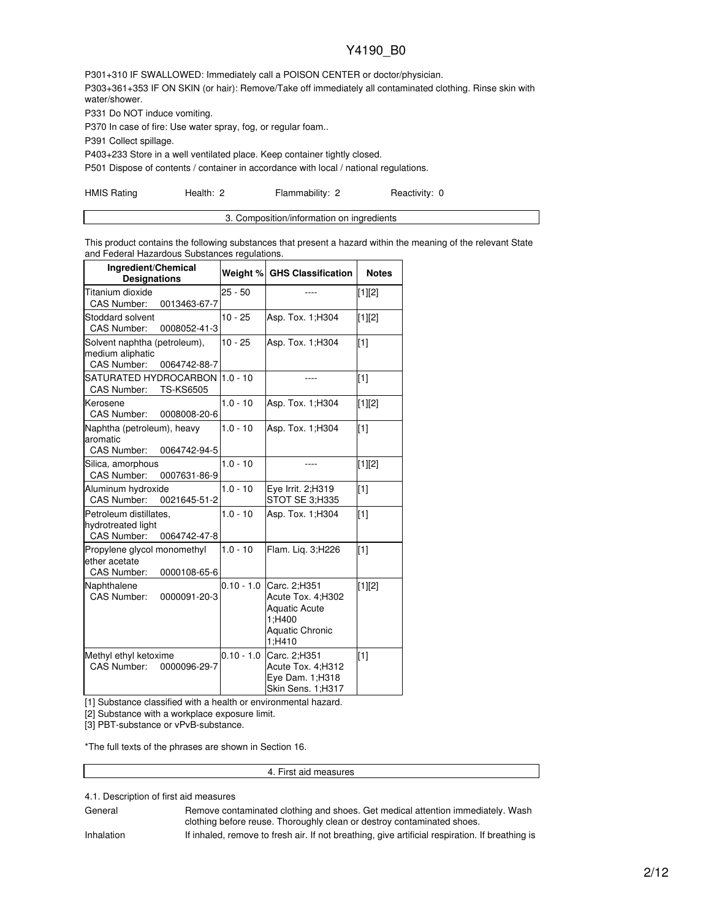P301+310 IF SWALLOWED: Immediately call a POISON CENTER or doctor/physician. P303+361+353 IF ON SKIN (or hair): Remove/Take off immediately all contaminated clothing. Rinse skin with water/shower.

P331 Do NOT induce vomiting.

P370 In case of fire: Use water spray, fog, or regular foam..

P391 Collect spillage.

P403+233 Store in a well ventilated place. Keep container tightly closed.

P501 Dispose of contents / container in accordance with local / national regulations.

HMIS Rating **Health: 2** Flammability: 2 Reactivity: 0

This product contains the following substances that present a hazard within the meaning of the relevant State and Federal Hazardous Substances regulations.

| Ingredient/Chemical<br><b>Designations</b>                                             | Weight %     | <b>GHS Classification</b>                                                                               | <b>Notes</b> |
|----------------------------------------------------------------------------------------|--------------|---------------------------------------------------------------------------------------------------------|--------------|
| Titanium dioxide<br><b>CAS Number:</b><br>0013463-67-7                                 | $25 - 50$    |                                                                                                         | [1][2]       |
| Stoddard solvent<br><b>CAS Number:</b><br>0008052-41-3                                 | $10 - 25$    | Asp. Tox. 1; H304                                                                                       | [1][2]       |
| Solvent naphtha (petroleum),<br>medium aliphatic<br><b>CAS Number:</b><br>0064742-88-7 | $10 - 25$    | Asp. Tox. 1; H304                                                                                       | $\sqrt{11}$  |
| SATURATED HYDROCARBON<br><b>CAS Number:</b><br><b>TS-KS6505</b>                        | $1.0 - 10$   | ----                                                                                                    | $[1]$        |
| Kerosene<br><b>CAS Number:</b><br>0008008-20-6                                         | $1.0 - 10$   | Asp. Tox. 1; H304                                                                                       | [1][2]       |
| Naphtha (petroleum), heavy<br>aromatic<br>CAS Number:<br>0064742-94-5                  | $1.0 - 10$   | Asp. Tox. 1; H304                                                                                       | [1]          |
| Silica, amorphous<br><b>CAS Number:</b><br>0007631-86-9                                | $1.0 - 10$   |                                                                                                         | [1][2]       |
| Aluminum hydroxide<br>CAS Number:<br>0021645-51-2                                      | $1.0 - 10$   | Eye Irrit. 2;H319<br>STOT SE 3:H335                                                                     | $[1]$        |
| Petroleum distillates,<br>hydrotreated light<br><b>CAS Number:</b><br>0064742-47-8     | $1.0 - 10$   | Asp. Tox. 1; H304                                                                                       | [1]          |
| Propylene glycol monomethyl<br>ether acetate<br>CAS Number:<br>0000108-65-6            | $1.0 - 10$   | Flam. Liq. 3;H226                                                                                       | $\sqrt{11}$  |
| Naphthalene<br><b>CAS Number:</b><br>0000091-20-3                                      | $0.10 - 1.0$ | Carc. 2:H351<br>Acute Tox. 4:H302<br><b>Aquatic Acute</b><br>1:H400<br><b>Aquatic Chronic</b><br>1;H410 | $[1][2]$     |
| Methyl ethyl ketoxime<br><b>CAS Number:</b><br>0000096-29-7                            | $0.10 - 1.0$ | Carc. 2;H351<br>Acute Tox. 4;H312<br>Eye Dam. 1;H318<br>Skin Sens. 1;H317                               | $[1]$        |

[1] Substance classified with a health or environmental hazard.

[2] Substance with a workplace exposure limit.

[3] PBT-substance or vPvB-substance.

\*The full texts of the phrases are shown in Section 16.

4. First aid measures

### 4.1. Description of first aid measures

General **Remove contaminated clothing and shoes. Get medical attention immediately. Wash** clothing before reuse. Thoroughly clean or destroy contaminated shoes.

Inhalation If inhaled, remove to fresh air. If not breathing, give artificial respiration. If breathing is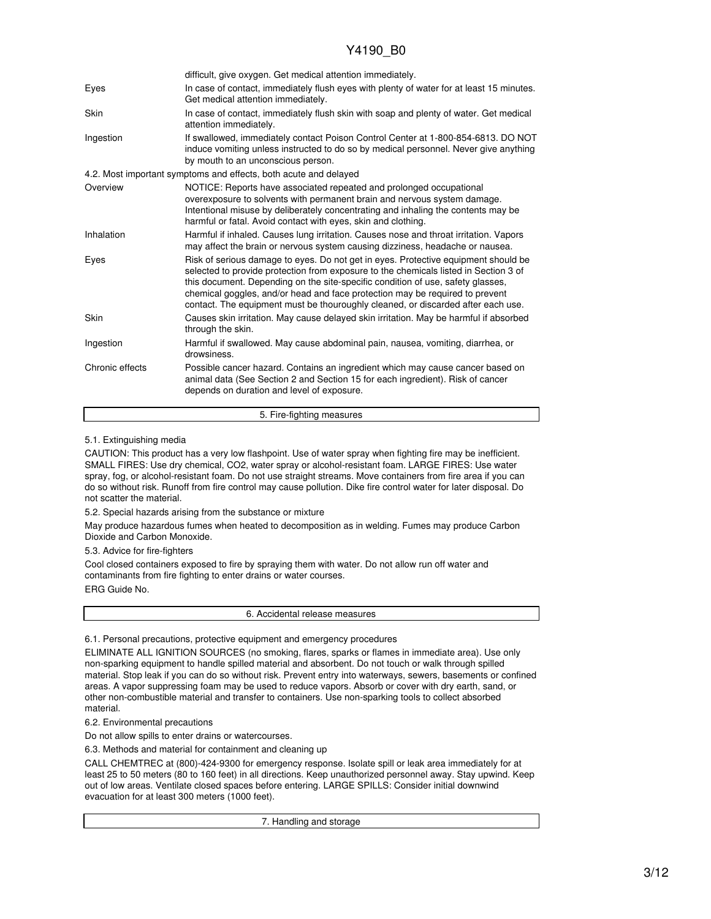|                 | difficult, give oxygen. Get medical attention immediately.                                                                                                                                                                                                                                                                                                                                                                        |
|-----------------|-----------------------------------------------------------------------------------------------------------------------------------------------------------------------------------------------------------------------------------------------------------------------------------------------------------------------------------------------------------------------------------------------------------------------------------|
| Eyes            | In case of contact, immediately flush eyes with plenty of water for at least 15 minutes.<br>Get medical attention immediately.                                                                                                                                                                                                                                                                                                    |
| Skin            | In case of contact, immediately flush skin with soap and plenty of water. Get medical<br>attention immediately.                                                                                                                                                                                                                                                                                                                   |
| Ingestion       | If swallowed, immediately contact Poison Control Center at 1-800-854-6813. DO NOT<br>induce vomiting unless instructed to do so by medical personnel. Never give anything<br>by mouth to an unconscious person.                                                                                                                                                                                                                   |
|                 | 4.2. Most important symptoms and effects, both acute and delayed                                                                                                                                                                                                                                                                                                                                                                  |
| Overview        | NOTICE: Reports have associated repeated and prolonged occupational<br>overexposure to solvents with permanent brain and nervous system damage.<br>Intentional misuse by deliberately concentrating and inhaling the contents may be<br>harmful or fatal. Avoid contact with eyes, skin and clothing.                                                                                                                             |
| Inhalation      | Harmful if inhaled. Causes lung irritation. Causes nose and throat irritation. Vapors<br>may affect the brain or nervous system causing dizziness, headache or nausea.                                                                                                                                                                                                                                                            |
| Eyes            | Risk of serious damage to eyes. Do not get in eyes. Protective equipment should be<br>selected to provide protection from exposure to the chemicals listed in Section 3 of<br>this document. Depending on the site-specific condition of use, safety glasses,<br>chemical goggles, and/or head and face protection may be required to prevent<br>contact. The equipment must be thouroughly cleaned, or discarded after each use. |
| Skin            | Causes skin irritation. May cause delayed skin irritation. May be harmful if absorbed<br>through the skin.                                                                                                                                                                                                                                                                                                                        |
| Ingestion       | Harmful if swallowed. May cause abdominal pain, nausea, vomiting, diarrhea, or<br>drowsiness.                                                                                                                                                                                                                                                                                                                                     |
| Chronic effects | Possible cancer hazard. Contains an ingredient which may cause cancer based on<br>animal data (See Section 2 and Section 15 for each ingredient). Risk of cancer<br>depends on duration and level of exposure.                                                                                                                                                                                                                    |

#### 5. Fire-fighting measures

#### 5.1. Extinguishing media

CAUTION: This product has a very low flashpoint. Use of water spray when fighting fire may be inefficient. SMALL FIRES: Use dry chemical, CO2, water spray or alcohol-resistant foam. LARGE FIRES: Use water spray, fog, or alcohol-resistant foam. Do not use straight streams. Move containers from fire area if you can do so without risk. Runoff from fire control may cause pollution. Dike fire control water for later disposal. Do not scatter the material.

5.2. Special hazards arising from the substance or mixture

May produce hazardous fumes when heated to decomposition as in welding. Fumes may produce Carbon Dioxide and Carbon Monoxide.

5.3. Advice for fire-fighters

Cool closed containers exposed to fire by spraying them with water. Do not allow run off water and contaminants from fire fighting to enter drains or water courses.

ERG Guide No.

6. Accidental release measures

6.1. Personal precautions, protective equipment and emergency procedures

ELIMINATE ALL IGNITION SOURCES (no smoking, flares, sparks or flames in immediate area). Use only non-sparking equipment to handle spilled material and absorbent. Do not touch or walk through spilled material. Stop leak if you can do so without risk. Prevent entry into waterways, sewers, basements or confined areas. A vapor suppressing foam may be used to reduce vapors. Absorb or cover with dry earth, sand, or other non-combustible material and transfer to containers. Use non-sparking tools to collect absorbed material.

6.2. Environmental precautions

Do not allow spills to enter drains or watercourses.

6.3. Methods and material for containment and cleaning up

CALL CHEMTREC at (800)-424-9300 for emergency response. Isolate spill or leak area immediately for at least 25 to 50 meters (80 to 160 feet) in all directions. Keep unauthorized personnel away. Stay upwind. Keep out of low areas. Ventilate closed spaces before entering. LARGE SPILLS: Consider initial downwind evacuation for at least 300 meters (1000 feet).

7. Handling and storage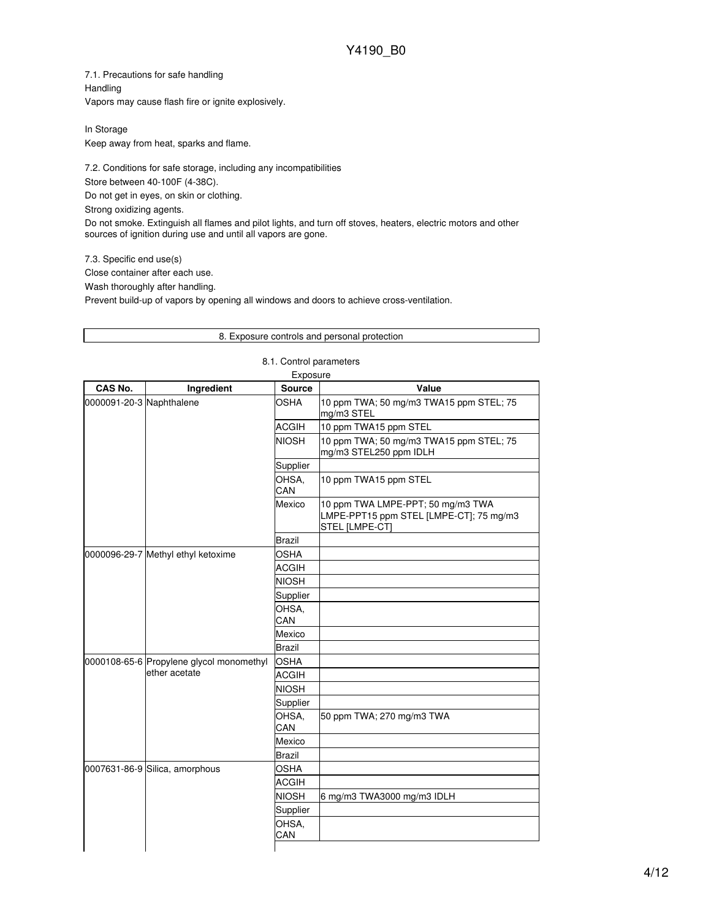7.1. Precautions for safe handling Handling Vapors may cause flash fire or ignite explosively.

In Storage Keep away from heat, sparks and flame.

7.2. Conditions for safe storage, including any incompatibilities Store between 40-100F (4-38C). Do not get in eyes, on skin or clothing. Strong oxidizing agents. Do not smoke. Extinguish all flames and pilot lights, and turn off stoves, heaters, electric motors and other sources of ignition during use and until all vapors are gone.

7.3. Specific end use(s) Close container after each use.

Wash thoroughly after handling.

Prevent build-up of vapors by opening all windows and doors to achieve cross-ventilation.

|                          |                                                           | Exposure      |                                                                                                |
|--------------------------|-----------------------------------------------------------|---------------|------------------------------------------------------------------------------------------------|
| CAS No.                  | Ingredient                                                | <b>Source</b> | Value                                                                                          |
| 0000091-20-3 Naphthalene |                                                           | OSHA          | 10 ppm TWA; 50 mg/m3 TWA15 ppm STEL; 75<br>mg/m3 STEL                                          |
|                          |                                                           | <b>ACGIH</b>  | 10 ppm TWA15 ppm STEL                                                                          |
|                          |                                                           | <b>NIOSH</b>  | 10 ppm TWA; 50 mg/m3 TWA15 ppm STEL; 75<br>mg/m3 STEL250 ppm IDLH                              |
|                          |                                                           | Supplier      |                                                                                                |
|                          |                                                           | OHSA,<br>CAN  | 10 ppm TWA15 ppm STEL                                                                          |
|                          |                                                           | Mexico        | 10 ppm TWA LMPE-PPT; 50 mg/m3 TWA<br>LMPE-PPT15 ppm STEL [LMPE-CT]; 75 mg/m3<br>STEL [LMPE-CT] |
|                          |                                                           | <b>Brazil</b> |                                                                                                |
|                          | 0000096-29-7 Methyl ethyl ketoxime                        | <b>OSHA</b>   |                                                                                                |
|                          |                                                           | <b>ACGIH</b>  |                                                                                                |
|                          |                                                           | <b>NIOSH</b>  |                                                                                                |
|                          |                                                           | Supplier      |                                                                                                |
|                          |                                                           | OHSA,<br>CAN  |                                                                                                |
|                          |                                                           | Mexico        |                                                                                                |
|                          |                                                           | <b>Brazil</b> |                                                                                                |
|                          | 0000108-65-6 Propylene glycol monomethyl<br>ether acetate | <b>OSHA</b>   |                                                                                                |
|                          |                                                           | <b>ACGIH</b>  |                                                                                                |
|                          |                                                           | <b>NIOSH</b>  |                                                                                                |
|                          |                                                           | Supplier      |                                                                                                |
|                          |                                                           | OHSA.<br>CAN  | 50 ppm TWA; 270 mg/m3 TWA                                                                      |
|                          |                                                           | Mexico        |                                                                                                |
|                          |                                                           | <b>Brazil</b> |                                                                                                |
|                          | 0007631-86-9 Silica, amorphous                            | <b>OSHA</b>   |                                                                                                |
|                          |                                                           | <b>ACGIH</b>  |                                                                                                |
|                          |                                                           | <b>NIOSH</b>  | 6 mg/m3 TWA3000 mg/m3 IDLH                                                                     |
|                          |                                                           | Supplier      |                                                                                                |
|                          |                                                           | OHSA,         |                                                                                                |
|                          |                                                           | CAN           |                                                                                                |

### 8.1. Control parameters

8. Exposure controls and personal protection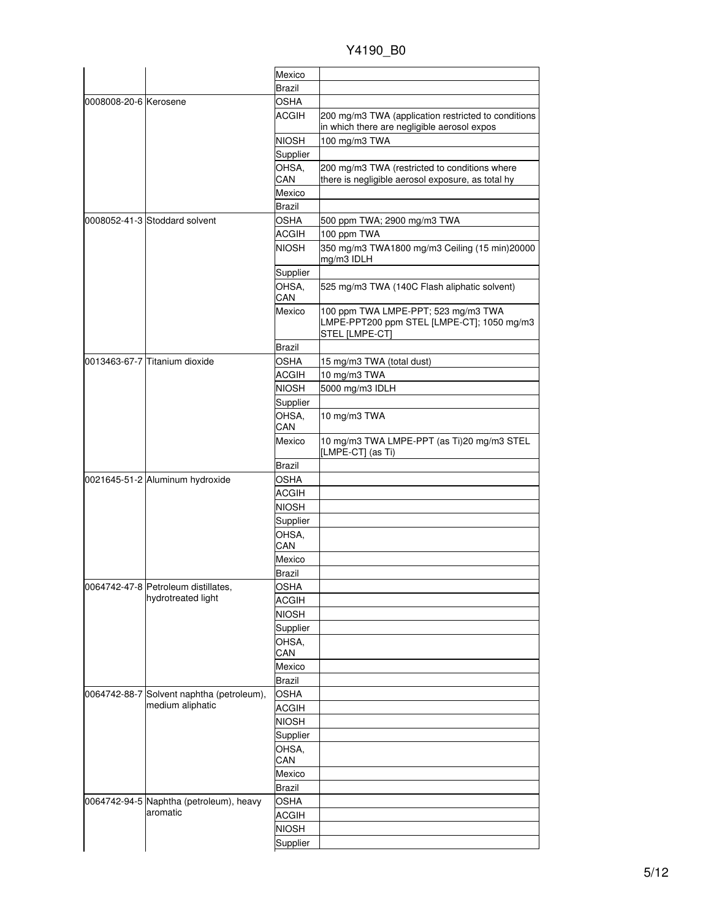Y4190\_B0

|                       |                                           | Mexico        |                                                                                                    |
|-----------------------|-------------------------------------------|---------------|----------------------------------------------------------------------------------------------------|
|                       |                                           | Brazil        |                                                                                                    |
|                       |                                           | OSHA          |                                                                                                    |
| 0008008-20-6 Kerosene |                                           | <b>ACGIH</b>  | 200 mg/m3 TWA (application restricted to conditions                                                |
|                       |                                           |               | in which there are negligible aerosol expos                                                        |
|                       |                                           | <b>NIOSH</b>  | 100 mg/m3 TWA                                                                                      |
|                       |                                           | Supplier      |                                                                                                    |
|                       |                                           | OHSA,<br>CAN  | 200 mg/m3 TWA (restricted to conditions where<br>there is negligible aerosol exposure, as total hy |
|                       |                                           | Mexico        |                                                                                                    |
|                       |                                           | Brazil        |                                                                                                    |
|                       | 0008052-41-3 Stoddard solvent             | OSHA          | 500 ppm TWA; 2900 mg/m3 TWA                                                                        |
|                       |                                           | ACGIH         | 100 ppm TWA                                                                                        |
|                       |                                           | NIOSH         | 350 mg/m3 TWA1800 mg/m3 Ceiling (15 min)20000                                                      |
|                       |                                           |               | mg/m3 IDLH                                                                                         |
|                       |                                           | Supplier      |                                                                                                    |
|                       |                                           | OHSA,<br>CAN  | 525 mg/m3 TWA (140C Flash aliphatic solvent)                                                       |
|                       |                                           | Mexico        | 100 ppm TWA LMPE-PPT; 523 mg/m3 TWA                                                                |
|                       |                                           |               | LMPE-PPT200 ppm STEL [LMPE-CT]; 1050 mg/m3<br>STEL [LMPE-CT]                                       |
|                       |                                           | <b>Brazil</b> |                                                                                                    |
|                       | 0013463-67-7 Titanium dioxide             |               |                                                                                                    |
|                       |                                           | <b>OSHA</b>   | 15 mg/m3 TWA (total dust)                                                                          |
|                       |                                           | <b>ACGIH</b>  | 10 mg/m3 TWA                                                                                       |
|                       |                                           | <b>NIOSH</b>  | 5000 mg/m3 IDLH                                                                                    |
|                       |                                           | Supplier      |                                                                                                    |
|                       |                                           | OHSA,<br>CAN  | 10 mg/m3 TWA                                                                                       |
|                       |                                           | Mexico        | 10 mg/m3 TWA LMPE-PPT (as Ti)20 mg/m3 STEL<br>[LMPE-CT] (as Ti)                                    |
|                       |                                           | Brazil        |                                                                                                    |
|                       | 0021645-51-2 Aluminum hydroxide           | <b>OSHA</b>   |                                                                                                    |
|                       |                                           | <b>ACGIH</b>  |                                                                                                    |
|                       |                                           | <b>NIOSH</b>  |                                                                                                    |
|                       |                                           | Supplier      |                                                                                                    |
|                       |                                           | OHSA,         |                                                                                                    |
|                       |                                           | CAN           |                                                                                                    |
|                       |                                           | Mexico        |                                                                                                    |
|                       |                                           | Brazil        |                                                                                                    |
|                       | 0064742-47-8 Petroleum distillates,       | OSHA          |                                                                                                    |
|                       | hydrotreated light                        | <b>ACGIH</b>  |                                                                                                    |
|                       |                                           | <b>NIOSH</b>  |                                                                                                    |
|                       |                                           |               |                                                                                                    |
|                       |                                           | Supplier      |                                                                                                    |
|                       |                                           | OHSA,<br>CAN  |                                                                                                    |
|                       |                                           | Mexico        |                                                                                                    |
|                       |                                           |               |                                                                                                    |
|                       |                                           | Brazil        |                                                                                                    |
|                       | 0064742-88-7 Solvent naphtha (petroleum), | <b>OSHA</b>   |                                                                                                    |
|                       | medium aliphatic                          | <b>ACGIH</b>  |                                                                                                    |
|                       |                                           | <b>NIOSH</b>  |                                                                                                    |
|                       |                                           | Supplier      |                                                                                                    |
|                       |                                           | OHSA,         |                                                                                                    |
|                       |                                           | CAN           |                                                                                                    |
|                       |                                           | Mexico        |                                                                                                    |
|                       |                                           | <b>Brazil</b> |                                                                                                    |
|                       | 0064742-94-5 Naphtha (petroleum), heavy   | <b>OSHA</b>   |                                                                                                    |
|                       | aromatic                                  | <b>ACGIH</b>  |                                                                                                    |
|                       |                                           | <b>NIOSH</b>  |                                                                                                    |
|                       |                                           | Supplier      |                                                                                                    |
|                       |                                           |               |                                                                                                    |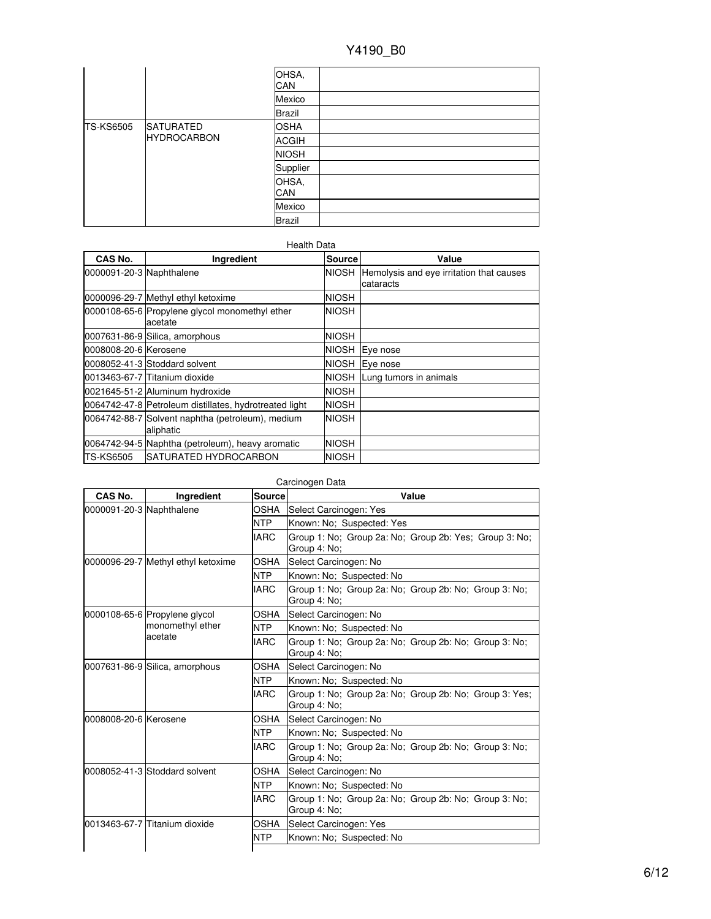|                    |                  | OHSA,<br>CAN  |  |
|--------------------|------------------|---------------|--|
|                    |                  | Mexico        |  |
|                    |                  | <b>Brazil</b> |  |
| <b>TS-KS6505</b>   | <b>SATURATED</b> | <b>OSHA</b>   |  |
| <b>HYDROCARBON</b> |                  | <b>ACGIH</b>  |  |
|                    |                  | <b>NIOSH</b>  |  |
|                    |                  | Supplier      |  |
|                    |                  | OHSA,<br>CAN  |  |
|                    |                  | Mexico        |  |
|                    |                  | <b>Brazil</b> |  |

| <b>Health Data</b>       |                                                               |               |                                                       |  |
|--------------------------|---------------------------------------------------------------|---------------|-------------------------------------------------------|--|
| CAS No.                  | Ingredient                                                    | <b>Source</b> | Value                                                 |  |
| 0000091-20-3 Naphthalene |                                                               | <b>NIOSH</b>  | Hemolysis and eye irritation that causes<br>cataracts |  |
|                          | 0000096-29-7 Methyl ethyl ketoxime                            | <b>NIOSH</b>  |                                                       |  |
|                          | 0000108-65-6 Propylene glycol monomethyl ether<br>acetate     | <b>NIOSH</b>  |                                                       |  |
|                          | 0007631-86-9 Silica, amorphous                                | <b>NIOSH</b>  |                                                       |  |
| 0008008-20-6 Kerosene    |                                                               | <b>NIOSH</b>  | Eve nose                                              |  |
|                          | 0008052-41-3 Stoddard solvent                                 | <b>NIOSH</b>  | Eye nose                                              |  |
|                          | l0013463-67-7 Titanium dioxide                                | <b>NIOSH</b>  | Lung tumors in animals                                |  |
|                          | 0021645-51-2 Aluminum hydroxide                               | <b>NIOSH</b>  |                                                       |  |
|                          | 0064742-47-8 Petroleum distillates, hydrotreated light        | <b>NIOSH</b>  |                                                       |  |
|                          | 0064742-88-7 Solvent naphtha (petroleum), medium<br>aliphatic | <b>NIOSH</b>  |                                                       |  |
|                          | 0064742-94-5 Naphtha (petroleum), heavy aromatic              | <b>NIOSH</b>  |                                                       |  |
| ITS-KS6505               | <b>SATURATED HYDROCARBON</b>                                  | <b>NIOSH</b>  |                                                       |  |

| CAS No.                  | Ingredient                         | <b>Source</b> | Value                                                                  |
|--------------------------|------------------------------------|---------------|------------------------------------------------------------------------|
| 0000091-20-3 Naphthalene |                                    | OSHA          | Select Carcinogen: Yes                                                 |
|                          |                                    | <b>NTP</b>    | Known: No; Suspected: Yes                                              |
|                          |                                    | <b>IARC</b>   | Group 1: No: Group 2a: No: Group 2b: Yes: Group 3: No:<br>Group 4: No: |
|                          | 0000096-29-7 Methyl ethyl ketoxime | OSHA          | Select Carcinogen: No                                                  |
|                          |                                    | <b>NTP</b>    | Known: No; Suspected: No                                               |
|                          |                                    | <b>IARC</b>   | Group 1: No; Group 2a: No; Group 2b: No; Group 3: No;<br>Group 4: No;  |
|                          | 0000108-65-6 Propylene glycol      | OSHA          | Select Carcinogen: No                                                  |
|                          | monomethyl ether                   | <b>NTP</b>    | Known: No; Suspected: No                                               |
|                          | acetate                            | <b>IARC</b>   | Group 1: No; Group 2a: No; Group 2b: No; Group 3: No;<br>Group 4: No:  |
|                          | 0007631-86-9 Silica, amorphous     | OSHA          | Select Carcinogen: No                                                  |
|                          |                                    | <b>NTP</b>    | Known: No; Suspected: No                                               |
|                          |                                    | <b>IARC</b>   | Group 1: No; Group 2a: No; Group 2b: No; Group 3: Yes;<br>Group 4: No; |
| 0008008-20-6 Kerosene    |                                    | OSHA          | Select Carcinogen: No                                                  |
|                          |                                    | <b>NTP</b>    | Known: No; Suspected: No                                               |
|                          |                                    | <b>IARC</b>   | Group 1: No; Group 2a: No; Group 2b: No; Group 3: No;<br>Group 4: No;  |
|                          | 0008052-41-3 Stoddard solvent      | OSHA          | Select Carcinogen: No                                                  |
|                          |                                    | NTP           | Known: No; Suspected: No                                               |
|                          |                                    | <b>IARC</b>   | Group 1: No; Group 2a: No; Group 2b: No; Group 3: No;<br>Group 4: No:  |
|                          | l0013463-67-7 lTitanium dioxide    | OSHA          | Select Carcinogen: Yes                                                 |
|                          |                                    | <b>NTP</b>    | Known: No; Suspected: No                                               |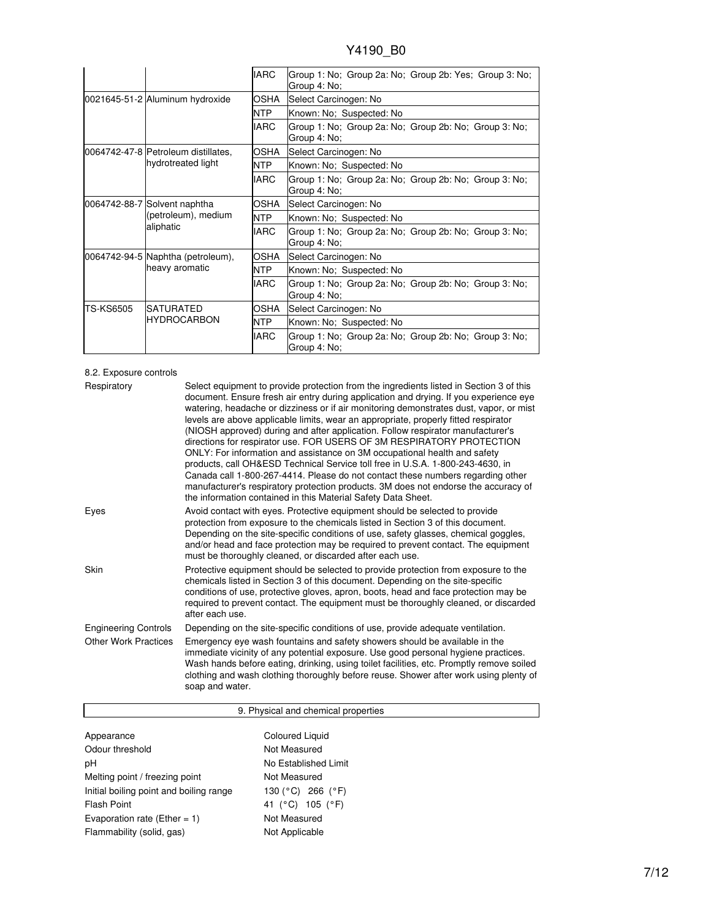|           |                                                                  | <b>IARC</b> | Group 1: No; Group 2a: No; Group 2b: Yes; Group 3: No;                |  |  |
|-----------|------------------------------------------------------------------|-------------|-----------------------------------------------------------------------|--|--|
|           |                                                                  |             | Group 4: No;                                                          |  |  |
|           | 0021645-51-2 Aluminum hydroxide                                  | OSHA        | Select Carcinogen: No                                                 |  |  |
|           |                                                                  | <b>NTP</b>  | Known: No; Suspected: No                                              |  |  |
|           |                                                                  | <b>IARC</b> | Group 1: No; Group 2a: No; Group 2b: No; Group 3: No;<br>Group 4: No; |  |  |
|           | 0064742-47-8 Petroleum distillates.                              | <b>OSHA</b> | Select Carcinogen: No                                                 |  |  |
|           | hydrotreated light                                               | <b>NTP</b>  | Known: No; Suspected: No                                              |  |  |
|           |                                                                  | <b>IARC</b> | Group 1: No; Group 2a: No; Group 2b: No; Group 3: No;<br>Group 4: No; |  |  |
|           | 0064742-88-7 Solvent naphtha<br>(petroleum), medium<br>aliphatic | OSHA        | Select Carcinogen: No                                                 |  |  |
|           |                                                                  | <b>NTP</b>  | Known: No: Suspected: No                                              |  |  |
|           |                                                                  | <b>IARC</b> | Group 1: No; Group 2a: No; Group 2b: No; Group 3: No;<br>Group 4: No: |  |  |
|           | 0064742-94-5 Naphtha (petroleum),<br>heavy aromatic              | <b>OSHA</b> | Select Carcinogen: No                                                 |  |  |
|           |                                                                  | <b>NTP</b>  | Known: No; Suspected: No                                              |  |  |
|           |                                                                  | <b>IARC</b> | Group 1: No; Group 2a: No; Group 2b: No; Group 3: No;<br>Group 4: No; |  |  |
| TS-KS6505 | <b>SATURATED</b><br><b>IHYDROCARBON</b>                          | OSHA        | Select Carcinogen: No                                                 |  |  |
|           |                                                                  | <b>NTP</b>  | Known: No; Suspected: No                                              |  |  |
|           |                                                                  | <b>IARC</b> | Group 1: No; Group 2a: No; Group 2b: No; Group 3: No;<br>Group 4: No; |  |  |

## 8.2. Exposure controls

| Respiratory                 | Select equipment to provide protection from the ingredients listed in Section 3 of this<br>document. Ensure fresh air entry during application and drying. If you experience eye<br>watering, headache or dizziness or if air monitoring demonstrates dust, vapor, or mist<br>levels are above applicable limits, wear an appropriate, properly fitted respirator<br>(NIOSH approved) during and after application. Follow respirator manufacturer's<br>directions for respirator use. FOR USERS OF 3M RESPIRATORY PROTECTION<br>ONLY: For information and assistance on 3M occupational health and safety<br>products, call OH&ESD Technical Service toll free in U.S.A. 1-800-243-4630, in<br>Canada call 1-800-267-4414. Please do not contact these numbers regarding other<br>manufacturer's respiratory protection products. 3M does not endorse the accuracy of<br>the information contained in this Material Safety Data Sheet. |
|-----------------------------|-----------------------------------------------------------------------------------------------------------------------------------------------------------------------------------------------------------------------------------------------------------------------------------------------------------------------------------------------------------------------------------------------------------------------------------------------------------------------------------------------------------------------------------------------------------------------------------------------------------------------------------------------------------------------------------------------------------------------------------------------------------------------------------------------------------------------------------------------------------------------------------------------------------------------------------------|
| Eyes                        | Avoid contact with eyes. Protective equipment should be selected to provide<br>protection from exposure to the chemicals listed in Section 3 of this document.<br>Depending on the site-specific conditions of use, safety glasses, chemical goggles,<br>and/or head and face protection may be required to prevent contact. The equipment<br>must be thoroughly cleaned, or discarded after each use.                                                                                                                                                                                                                                                                                                                                                                                                                                                                                                                                  |
| Skin                        | Protective equipment should be selected to provide protection from exposure to the<br>chemicals listed in Section 3 of this document. Depending on the site-specific<br>conditions of use, protective gloves, apron, boots, head and face protection may be<br>required to prevent contact. The equipment must be thoroughly cleaned, or discarded<br>after each use.                                                                                                                                                                                                                                                                                                                                                                                                                                                                                                                                                                   |
| <b>Engineering Controls</b> | Depending on the site-specific conditions of use, provide adequate ventilation.                                                                                                                                                                                                                                                                                                                                                                                                                                                                                                                                                                                                                                                                                                                                                                                                                                                         |
| <b>Other Work Practices</b> | Emergency eye wash fountains and safety showers should be available in the<br>immediate vicinity of any potential exposure. Use good personal hygiene practices.<br>Wash hands before eating, drinking, using toilet facilities, etc. Promptly remove soiled<br>clothing and wash clothing thoroughly before reuse. Shower after work using plenty of<br>soap and water.                                                                                                                                                                                                                                                                                                                                                                                                                                                                                                                                                                |

## 9. Physical and chemical properties

| Appearance                              | <b>Coloured Liquid</b>                  |
|-----------------------------------------|-----------------------------------------|
| Odour threshold                         | Not Measured                            |
| рH                                      | No Established Limit                    |
| Melting point / freezing point          | Not Measured                            |
| Initial boiling point and boiling range | 130 ( $^{\circ}$ C) 266 ( $^{\circ}$ F) |
| Flash Point                             | 41 (°C) 105 (°F)                        |
| Evaporation rate (Ether = $1$ )         | Not Measured                            |
| Flammability (solid, gas)               | Not Applicable                          |
|                                         |                                         |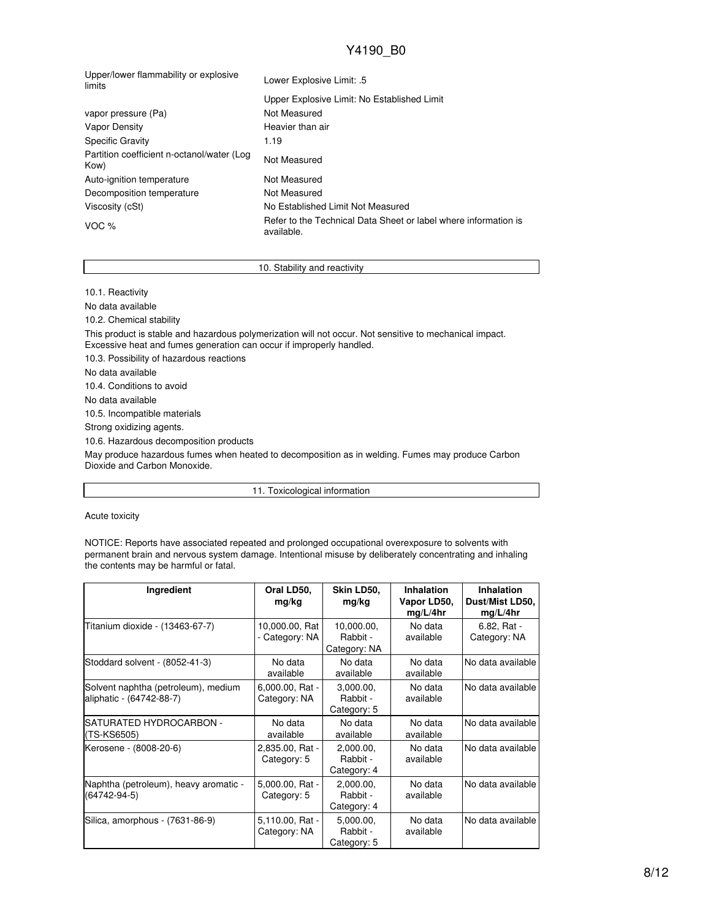| Upper/lower flammability or explosive<br>limits    | Lower Explosive Limit: .5                                                     |  |  |
|----------------------------------------------------|-------------------------------------------------------------------------------|--|--|
|                                                    | Upper Explosive Limit: No Established Limit                                   |  |  |
| vapor pressure (Pa)                                | Not Measured                                                                  |  |  |
| Vapor Density                                      | Heavier than air                                                              |  |  |
| <b>Specific Gravity</b>                            | 1.19                                                                          |  |  |
| Partition coefficient n-octanol/water (Log<br>Kow) | Not Measured                                                                  |  |  |
| Auto-ignition temperature                          | Not Measured                                                                  |  |  |
| Decomposition temperature                          | Not Measured                                                                  |  |  |
| Viscosity (cSt)                                    | No Established Limit Not Measured                                             |  |  |
| VOC $%$                                            | Refer to the Technical Data Sheet or label where information is<br>available. |  |  |

### 10. Stability and reactivity

10.1. Reactivity No data available 10.2. Chemical stability This product is stable and hazardous polymerization will not occur. Not sensitive to mechanical impact. Excessive heat and fumes generation can occur if improperly handled. 10.3. Possibility of hazardous reactions No data available 10.4. Conditions to avoid No data available 10.5. Incompatible materials Strong oxidizing agents. 10.6. Hazardous decomposition products May produce hazardous fumes when heated to decomposition as in welding. Fumes may produce Carbon

Dioxide and Carbon Monoxide.

11. Toxicological information

Acute toxicity

NOTICE: Reports have associated repeated and prolonged occupational overexposure to solvents with permanent brain and nervous system damage. Intentional misuse by deliberately concentrating and inhaling the contents may be harmful or fatal.

| Ingredient                                                      | Oral LD50,<br>mg/kg              | Skin LD50,<br>mg/kg                    | Inhalation<br>Vapor LD50.<br>mg/L/4hr | Inhalation<br>Dust/Mist LD50,<br>mg/L/4hr |
|-----------------------------------------------------------------|----------------------------------|----------------------------------------|---------------------------------------|-------------------------------------------|
| Titanium dioxide - (13463-67-7)                                 | 10,000.00, Rat<br>- Category: NA | 10,000.00,<br>Rabbit -<br>Category: NA | No data<br>available                  | 6.82, Rat -<br>Category: NA               |
| Stoddard solvent - (8052-41-3)                                  | No data<br>available             | No data<br>available                   | No data<br>available                  | No data available                         |
| Solvent naphtha (petroleum), medium<br>aliphatic - (64742-88-7) | 6,000.00, Rat -<br>Category: NA  | 3,000.00,<br>Rabbit -<br>Category: 5   | No data<br>available                  | No data available                         |
| ISATURATED HYDROCARBON -<br>(TS-KS6505)                         | No data<br>available             | No data<br>available                   | No data<br>available                  | No data available                         |
| Kerosene - (8008-20-6)                                          | 2,835.00, Rat -<br>Category: 5   | 2,000.00,<br>Rabbit -<br>Category: 4   | No data<br>available                  | No data available                         |
| Naphtha (petroleum), heavy aromatic -<br>$(64742 - 94 - 5)$     | 5,000.00, Rat -<br>Category: 5   | 2,000.00,<br>Rabbit -<br>Category: 4   | No data<br>available                  | No data available                         |
| Silica, amorphous - (7631-86-9)                                 | 5,110.00, Rat -<br>Category: NA  | 5,000.00,<br>Rabbit -<br>Category: 5   | No data<br>available                  | No data available                         |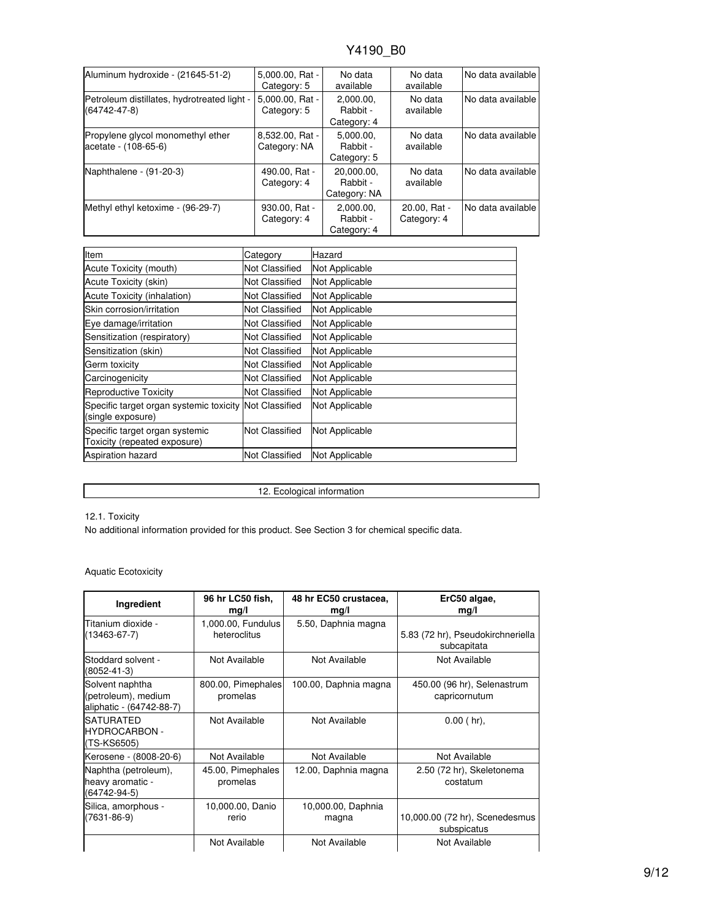| Aluminum hydroxide - (21645-51-2)                                 | 5,000.00, Rat -<br>Category: 5  | No data<br>available                   | No data<br>available        | INo data available |
|-------------------------------------------------------------------|---------------------------------|----------------------------------------|-----------------------------|--------------------|
| Petroleum distillates, hydrotreated light -<br>$(64742 - 47 - 8)$ | 5.000.00, Rat -<br>Category: 5  | 2.000.00.<br>Rabbit -<br>Category: 4   | No data<br>available        | INo data available |
| Propylene glycol monomethyl ether<br>acetate - (108-65-6)         | 8.532.00, Rat -<br>Category: NA | 5.000.00.<br>Rabbit -<br>Category: 5   | No data<br>available        | INo data available |
| Naphthalene - (91-20-3)                                           | 490.00, Rat -<br>Category: 4    | 20.000.00.<br>Rabbit -<br>Category: NA | No data<br>available        | No data available  |
| Methyl ethyl ketoxime - (96-29-7)                                 | 930.00, Rat -<br>Category: 4    | 2.000.00.<br>Rabbit -<br>Category: 4   | 20.00. Rat -<br>Category: 4 | No data available  |

| Item                                                                        | Category              | Hazard                |
|-----------------------------------------------------------------------------|-----------------------|-----------------------|
| Acute Toxicity (mouth)                                                      | Not Classified        | Not Applicable        |
| Acute Toxicity (skin)                                                       | Not Classified        | Not Applicable        |
| Acute Toxicity (inhalation)                                                 | <b>Not Classified</b> | Not Applicable        |
| Skin corrosion/irritation                                                   | Not Classified        | Not Applicable        |
| Eye damage/irritation                                                       | Not Classified        | Not Applicable        |
| Sensitization (respiratory)                                                 | Not Classified        | Not Applicable        |
| Sensitization (skin)                                                        | Not Classified        | Not Applicable        |
| Germ toxicity                                                               | Not Classified        | Not Applicable        |
| Carcinogenicity                                                             | Not Classified        | Not Applicable        |
| Reproductive Toxicity                                                       | Not Classified        | <b>Not Applicable</b> |
| Specific target organ systemic toxicity Not Classified<br>(single exposure) |                       | Not Applicable        |
| Specific target organ systemic<br>Toxicity (repeated exposure)              | Not Classified        | Not Applicable        |
| <b>Aspiration hazard</b>                                                    | <b>Not Classified</b> | Not Applicable        |

12. Ecological information

12.1. Toxicity

No additional information provided for this product. See Section 3 for chemical specific data.

### Aquatic Ecotoxicity

| Ingredient                                                         | 96 hr LC50 fish,<br>mg/l           | 48 hr EC50 crustacea,<br>mg/l | ErC50 algae,<br>mg/l                             |
|--------------------------------------------------------------------|------------------------------------|-------------------------------|--------------------------------------------------|
| Titanium dioxide -<br>(13463-67-7)                                 | 1,000.00, Fundulus<br>heteroclitus | 5.50, Daphnia magna           | 5.83 (72 hr), Pseudokirchneriella<br>subcapitata |
| Stoddard solvent -<br>(8052-41-3)                                  | Not Available                      | Not Available                 | Not Available                                    |
| Solvent naphtha<br>(petroleum), medium<br>aliphatic - (64742-88-7) | 800.00, Pimephales<br>promelas     | 100.00, Daphnia magna         | 450.00 (96 hr), Selenastrum<br>capricornutum     |
| <b>SATURATED</b><br>IHYDROCARBON -<br>(TS-KS6505)                  | Not Available                      | Not Available                 | $0.00$ ( $hr$ ),                                 |
| Kerosene - (8008-20-6)                                             | Not Available                      | Not Available                 | Not Available                                    |
| Naphtha (petroleum),<br>heavy aromatic -<br>(64742-94-5)           | 45.00, Pimephales<br>promelas      | 12.00, Daphnia magna          | 2.50 (72 hr), Skeletonema<br>costatum            |
| Silica, amorphous -<br>(7631-86-9)                                 | 10,000.00, Danio<br>rerio          | 10,000.00, Daphnia<br>magna   | 10,000.00 (72 hr), Scenedesmus<br>subspicatus    |
|                                                                    | Not Available                      | Not Available                 | Not Available                                    |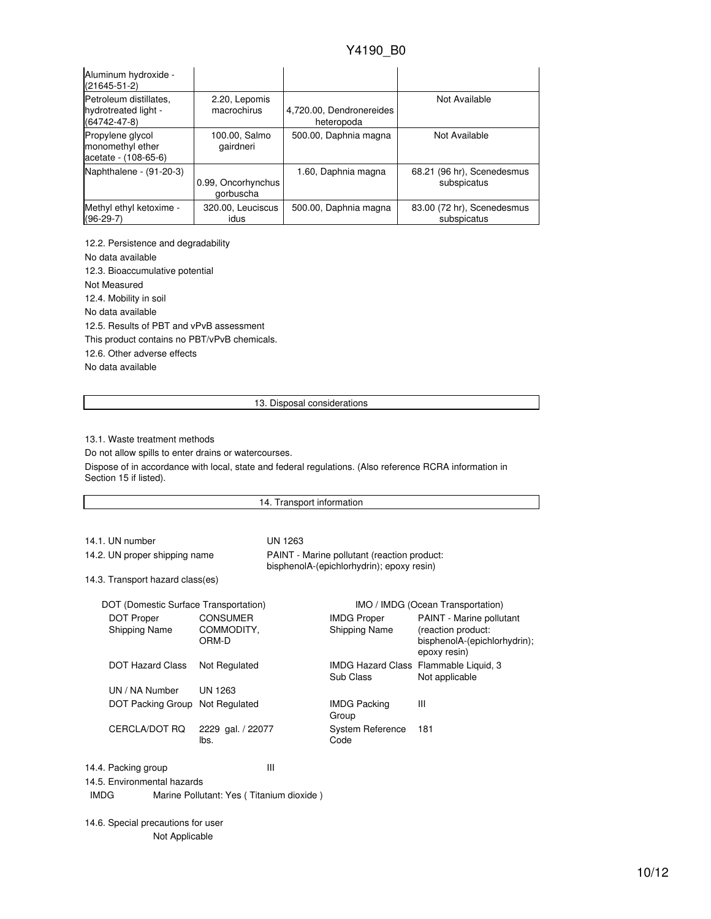| Aluminum hydroxide -<br>$(21645 - 51 - 2)$                           |                                 |                                        |                                           |
|----------------------------------------------------------------------|---------------------------------|----------------------------------------|-------------------------------------------|
| Petroleum distillates,<br>hydrotreated light -<br>$(64742 - 47 - 8)$ | 2.20, Lepomis<br>macrochirus    | 4,720.00, Dendronereides<br>heteropoda | Not Available                             |
| Propylene glycol<br>monomethyl ether<br>acetate - (108-65-6)         | 100.00, Salmo<br>gairdneri      | 500.00, Daphnia magna                  | Not Available                             |
| Naphthalene - (91-20-3)                                              | 0.99, Oncorhynchus<br>gorbuscha | 1.60, Daphnia magna                    | 68.21 (96 hr), Scenedesmus<br>subspicatus |
| Methyl ethyl ketoxime -<br>$(96-29-7)$                               | 320.00, Leuciscus<br>idus       | 500.00, Daphnia magna                  | 83.00 (72 hr), Scenedesmus<br>subspicatus |

12.2. Persistence and degradability No data available 12.3. Bioaccumulative potential Not Measured 12.4. Mobility in soil No data available 12.5. Results of PBT and vPvB assessment This product contains no PBT/vPvB chemicals. 12.6. Other adverse effects No data available

13. Disposal considerations

13.1. Waste treatment methods

Do not allow spills to enter drains or watercourses.

Dispose of in accordance with local, state and federal regulations. (Also reference RCRA information in Section 15 if listed).

| 14. Transport information                 |                                          |                                                                                          |                                     |                                                                                                |
|-------------------------------------------|------------------------------------------|------------------------------------------------------------------------------------------|-------------------------------------|------------------------------------------------------------------------------------------------|
|                                           |                                          |                                                                                          |                                     |                                                                                                |
| 14.1. UN number                           |                                          | UN 1263                                                                                  |                                     |                                                                                                |
| 14.2. UN proper shipping name             |                                          | PAINT - Marine pollutant (reaction product:<br>bisphenolA-(epichlorhydrin); epoxy resin) |                                     |                                                                                                |
| 14.3. Transport hazard class(es)          |                                          |                                                                                          |                                     |                                                                                                |
| DOT (Domestic Surface Transportation)     |                                          |                                                                                          |                                     | IMO / IMDG (Ocean Transportation)                                                              |
| <b>DOT Proper</b><br><b>Shipping Name</b> | <b>CONSUMER</b><br>COMMODITY,<br>ORM-D   |                                                                                          | <b>IMDG Proper</b><br>Shipping Name | PAINT - Marine pollutant<br>(reaction product:<br>bisphenolA-(epichlorhydrin);<br>epoxy resin) |
| <b>DOT Hazard Class</b>                   | Not Regulated                            |                                                                                          | Sub Class                           | IMDG Hazard Class Flammable Liquid, 3<br>Not applicable                                        |
| UN / NA Number                            | <b>UN 1263</b>                           |                                                                                          |                                     |                                                                                                |
| DOT Packing Group Not Regulated           |                                          |                                                                                          | <b>IMDG Packing</b><br>Group        | Ш                                                                                              |
| CERCLA/DOT RQ                             | 2229 gal. / 22077<br>lbs.                |                                                                                          | <b>System Reference</b><br>Code     | 181                                                                                            |
| 14.4. Packing group                       |                                          | Ш                                                                                        |                                     |                                                                                                |
| 14.5. Environmental hazards               |                                          |                                                                                          |                                     |                                                                                                |
| <b>IMDG</b>                               | Marine Pollutant: Yes (Titanium dioxide) |                                                                                          |                                     |                                                                                                |

14.6. Special precautions for user Not Applicable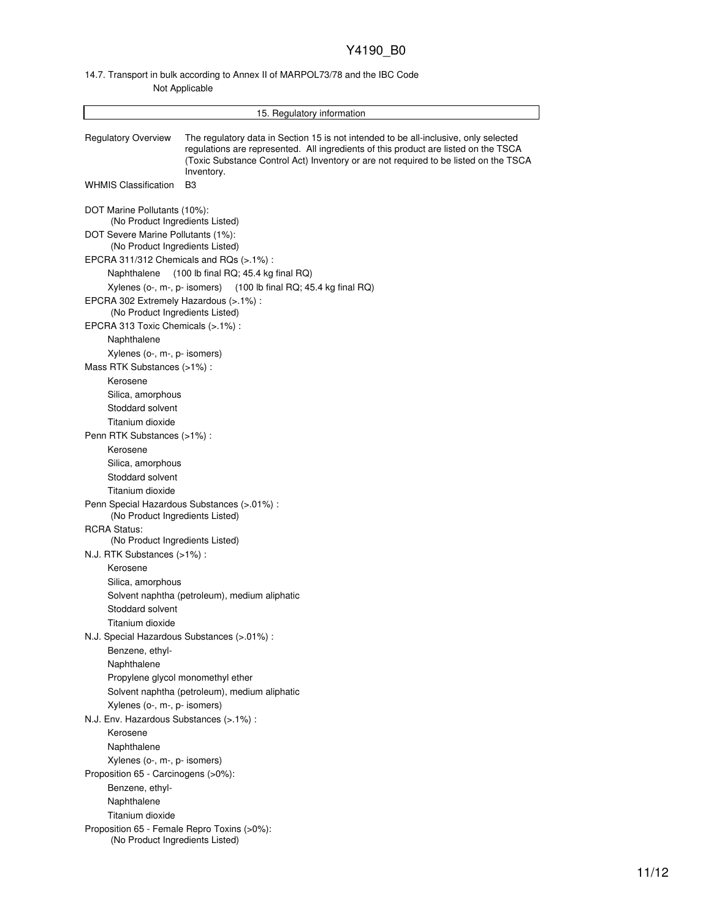## 14.7. Transport in bulk according to Annex II of MARPOL73/78 and the IBC Code Not Applicable

|                                                                           | 15. Regulatory information                                                                                                                                                                                                                                                        |  |  |  |  |
|---------------------------------------------------------------------------|-----------------------------------------------------------------------------------------------------------------------------------------------------------------------------------------------------------------------------------------------------------------------------------|--|--|--|--|
| <b>Regulatory Overview</b>                                                | The regulatory data in Section 15 is not intended to be all-inclusive, only selected<br>requlations are represented. All ingredients of this product are listed on the TSCA<br>(Toxic Substance Control Act) Inventory or are not required to be listed on the TSCA<br>Inventory. |  |  |  |  |
| <b>WHMIS Classification</b>                                               | B <sub>3</sub>                                                                                                                                                                                                                                                                    |  |  |  |  |
|                                                                           | DOT Marine Pollutants (10%):<br>(No Product Ingredients Listed)                                                                                                                                                                                                                   |  |  |  |  |
| DOT Severe Marine Pollutants (1%):<br>(No Product Ingredients Listed)     |                                                                                                                                                                                                                                                                                   |  |  |  |  |
| EPCRA 311/312 Chemicals and RQs (>.1%):                                   |                                                                                                                                                                                                                                                                                   |  |  |  |  |
| (100 lb final RQ; 45.4 kg final RQ)<br>Naphthalene                        |                                                                                                                                                                                                                                                                                   |  |  |  |  |
|                                                                           | Xylenes (o-, m-, p- isomers) (100 lb final RQ; 45.4 kg final RQ)                                                                                                                                                                                                                  |  |  |  |  |
| EPCRA 302 Extremely Hazardous (>.1%) :<br>(No Product Ingredients Listed) |                                                                                                                                                                                                                                                                                   |  |  |  |  |
| EPCRA 313 Toxic Chemicals (>.1%):                                         |                                                                                                                                                                                                                                                                                   |  |  |  |  |
| Naphthalene                                                               |                                                                                                                                                                                                                                                                                   |  |  |  |  |
| Xylenes (o-, m-, p- isomers)                                              |                                                                                                                                                                                                                                                                                   |  |  |  |  |
| Mass RTK Substances (>1%):                                                |                                                                                                                                                                                                                                                                                   |  |  |  |  |
| Kerosene                                                                  |                                                                                                                                                                                                                                                                                   |  |  |  |  |
| Silica, amorphous<br>Stoddard solvent                                     |                                                                                                                                                                                                                                                                                   |  |  |  |  |
| Titanium dioxide                                                          |                                                                                                                                                                                                                                                                                   |  |  |  |  |
| Penn RTK Substances (>1%) :                                               |                                                                                                                                                                                                                                                                                   |  |  |  |  |
| Kerosene                                                                  |                                                                                                                                                                                                                                                                                   |  |  |  |  |
| Silica, amorphous                                                         |                                                                                                                                                                                                                                                                                   |  |  |  |  |
| Stoddard solvent                                                          |                                                                                                                                                                                                                                                                                   |  |  |  |  |
| Titanium dioxide                                                          |                                                                                                                                                                                                                                                                                   |  |  |  |  |
| (No Product Ingredients Listed)                                           | Penn Special Hazardous Substances (>.01%) :                                                                                                                                                                                                                                       |  |  |  |  |
| <b>RCRA Status:</b>                                                       |                                                                                                                                                                                                                                                                                   |  |  |  |  |
| (No Product Ingredients Listed)                                           |                                                                                                                                                                                                                                                                                   |  |  |  |  |
| Kerosene                                                                  | N.J. RTK Substances (>1%):                                                                                                                                                                                                                                                        |  |  |  |  |
| Silica, amorphous                                                         |                                                                                                                                                                                                                                                                                   |  |  |  |  |
| Solvent naphtha (petroleum), medium aliphatic                             |                                                                                                                                                                                                                                                                                   |  |  |  |  |
| Stoddard solvent                                                          |                                                                                                                                                                                                                                                                                   |  |  |  |  |
| Titanium dioxide                                                          |                                                                                                                                                                                                                                                                                   |  |  |  |  |
| N.J. Special Hazardous Substances (> 01%) :                               |                                                                                                                                                                                                                                                                                   |  |  |  |  |
| Benzene, ethyl-                                                           |                                                                                                                                                                                                                                                                                   |  |  |  |  |
| Naphthalene                                                               |                                                                                                                                                                                                                                                                                   |  |  |  |  |
|                                                                           | Propylene glycol monomethyl ether                                                                                                                                                                                                                                                 |  |  |  |  |
|                                                                           | Solvent naphtha (petroleum), medium aliphatic                                                                                                                                                                                                                                     |  |  |  |  |
| Xylenes (o-, m-, p- isomers)                                              |                                                                                                                                                                                                                                                                                   |  |  |  |  |
| N.J. Env. Hazardous Substances (>.1%) :                                   |                                                                                                                                                                                                                                                                                   |  |  |  |  |
| Kerosene                                                                  |                                                                                                                                                                                                                                                                                   |  |  |  |  |
| Naphthalene                                                               |                                                                                                                                                                                                                                                                                   |  |  |  |  |
|                                                                           | Xylenes (o-, m-, p- isomers)                                                                                                                                                                                                                                                      |  |  |  |  |
| Proposition 65 - Carcinogens (>0%):                                       |                                                                                                                                                                                                                                                                                   |  |  |  |  |
| Benzene, ethyl-                                                           |                                                                                                                                                                                                                                                                                   |  |  |  |  |
| Naphthalene<br>Titanium dioxide                                           |                                                                                                                                                                                                                                                                                   |  |  |  |  |
| Proposition 65 - Female Repro Toxins (>0%):                               |                                                                                                                                                                                                                                                                                   |  |  |  |  |
| (No Product Ingredients Listed)                                           |                                                                                                                                                                                                                                                                                   |  |  |  |  |